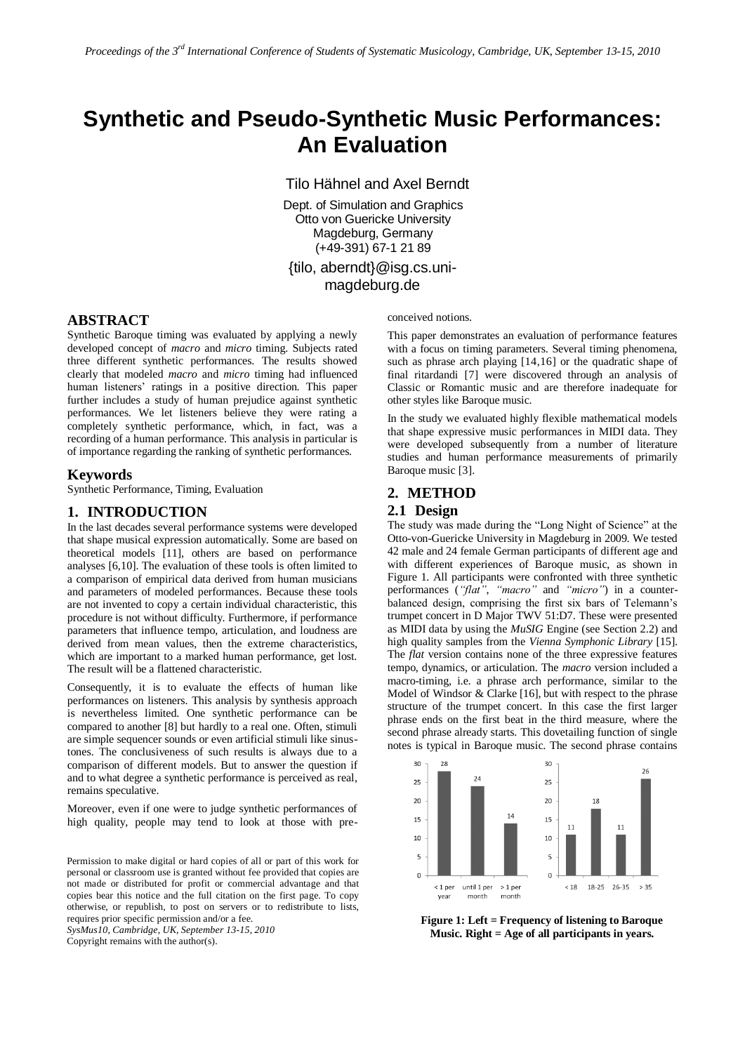# **Synthetic and Pseudo-Synthetic Music Performances: An Evaluation**

Tilo Hähnel and Axel Berndt

Dept. of Simulation and Graphics Otto von Guericke University Magdeburg, Germany (+49-391) 67-1 21 89

{tilo, aberndt}@isg.cs.unimagdeburg.de

# **ABSTRACT**

Synthetic Baroque timing was evaluated by applying a newly developed concept of *macro* and *micro* timing. Subjects rated three different synthetic performances. The results showed clearly that modeled *macro* and *micro* timing had influenced human listeners' ratings in a positive direction. This paper further includes a study of human prejudice against synthetic performances. We let listeners believe they were rating a completely synthetic performance, which, in fact, was a recording of a human performance. This analysis in particular is of importance regarding the ranking of synthetic performances.

# **Keywords**

Synthetic Performance, Timing, Evaluation

# **1. INTRODUCTION**

In the last decades several performance systems were developed that shape musical expression automatically. Some are based on theoretical models [11], others are based on performance analyses [6,10]. The evaluation of these tools is often limited to a comparison of empirical data derived from human musicians and parameters of modeled performances. Because these tools are not invented to copy a certain individual characteristic, this procedure is not without difficulty. Furthermore, if performance parameters that influence tempo, articulation, and loudness are derived from mean values, then the extreme characteristics, which are important to a marked human performance, get lost. The result will be a flattened characteristic.

Consequently, it is to evaluate the effects of human like performances on listeners. This analysis by synthesis approach is nevertheless limited. One synthetic performance can be compared to another [8] but hardly to a real one. Often, stimuli are simple sequencer sounds or even artificial stimuli like sinustones. The conclusiveness of such results is always due to a comparison of different models. But to answer the question if and to what degree a synthetic performance is perceived as real, remains speculative.

Moreover, even if one were to judge synthetic performances of high quality, people may tend to look at those with pre-

Permission to make digital or hard copies of all or part of this work for personal or classroom use is granted without fee provided that copies are not made or distributed for profit or commercial advantage and that copies bear this notice and the full citation on the first page. To copy otherwise, or republish, to post on servers or to redistribute to lists, requires prior specific permission and/or a fee.

*SysMus10, Cambridge, UK, September 13-15, 2010* Copyright remains with the author(s).

conceived notions.

This paper demonstrates an evaluation of performance features with a focus on timing parameters. Several timing phenomena, such as phrase arch playing [14,16] or the quadratic shape of final ritardandi [7] were discovered through an analysis of Classic or Romantic music and are therefore inadequate for other styles like Baroque music.

In the study we evaluated highly flexible mathematical models that shape expressive music performances in MIDI data. They were developed subsequently from a number of literature studies and human performance measurements of primarily Baroque music [3].

## **2. METHOD**

### **2.1 Design**

The study was made during the "Long Night of Science" at the Otto-von-Guericke University in Magdeburg in 2009. We tested 42 male and 24 female German participants of different age and with different experiences of Baroque music, as shown in Figure 1. All participants were confronted with three synthetic performances (*"flat"*, *"macro"* and *"micro"*) in a counterbalanced design, comprising the first six bars of Telemann's trumpet concert in D Major TWV 51:D7. These were presented as MIDI data by using the *MuSIG* Engine (see Section 2.2) and high quality samples from the *Vienna Symphonic Library* [15]. The *flat* version contains none of the three expressive features tempo, dynamics, or articulation. The *macro* version included a macro-timing, i.e. a phrase arch performance, similar to the Model of Windsor & Clarke [16], but with respect to the phrase structure of the trumpet concert. In this case the first larger phrase ends on the first beat in the third measure, where the second phrase already starts. This dovetailing function of single notes is typical in Baroque music. The second phrase contains



**Figure 1: Left = Frequency of listening to Baroque Music. Right = Age of all participants in years.**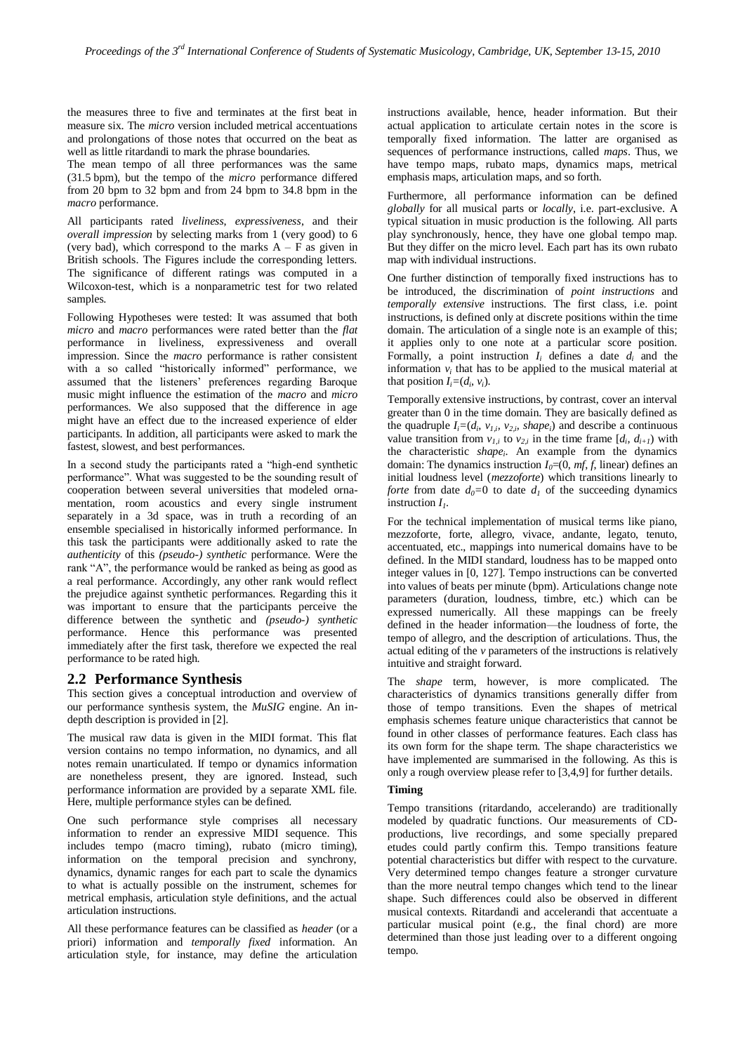the measures three to five and terminates at the first beat in measure six. The *micro* version included metrical accentuations and prolongations of those notes that occurred on the beat as well as little ritardandi to mark the phrase boundaries.

The mean tempo of all three performances was the same (31.5 bpm), but the tempo of the *micro* performance differed from 20 bpm to 32 bpm and from 24 bpm to 34.8 bpm in the *macro* performance.

All participants rated *liveliness*, *expressiveness*, and their *overall impression* by selecting marks from 1 (very good) to 6 (very bad), which correspond to the marks  $A - F$  as given in British schools. The Figures include the corresponding letters. The significance of different ratings was computed in a Wilcoxon-test, which is a nonparametric test for two related samples.

Following Hypotheses were tested: It was assumed that both *micro* and *macro* performances were rated better than the *flat* performance in liveliness, expressiveness and overall impression. Since the *macro* performance is rather consistent with a so called "historically informed" performance, we assumed that the listeners' preferences regarding Baroque music might influence the estimation of the *macro* and *micro* performances. We also supposed that the difference in age might have an effect due to the increased experience of elder participants. In addition, all participants were asked to mark the fastest, slowest, and best performances.

In a second study the participants rated a "high-end synthetic performance". What was suggested to be the sounding result of cooperation between several universities that modeled ornamentation, room acoustics and every single instrument separately in a 3d space, was in truth a recording of an ensemble specialised in historically informed performance. In this task the participants were additionally asked to rate the *authenticity* of this *(pseudo-) synthetic* performance. Were the rank "A", the performance would be ranked as being as good as a real performance. Accordingly, any other rank would reflect the prejudice against synthetic performances. Regarding this it was important to ensure that the participants perceive the difference between the synthetic and *(pseudo-) synthetic* performance. Hence this performance was presented immediately after the first task, therefore we expected the real performance to be rated high.

## **2.2 Performance Synthesis**

This section gives a conceptual introduction and overview of our performance synthesis system, the *MuSIG* engine. An indepth description is provided in [2].

The musical raw data is given in the MIDI format. This flat version contains no tempo information, no dynamics, and all notes remain unarticulated. If tempo or dynamics information are nonetheless present, they are ignored. Instead, such performance information are provided by a separate XML file. Here, multiple performance styles can be defined.

One such performance style comprises all necessary information to render an expressive MIDI sequence. This includes tempo (macro timing), rubato (micro timing), information on the temporal precision and synchrony, dynamics, dynamic ranges for each part to scale the dynamics to what is actually possible on the instrument, schemes for metrical emphasis, articulation style definitions, and the actual articulation instructions.

All these performance features can be classified as *header* (or a priori) information and *temporally fixed* information. An articulation style, for instance, may define the articulation

instructions available, hence, header information. But their actual application to articulate certain notes in the score is temporally fixed information. The latter are organised as sequences of performance instructions, called *maps*. Thus, we have tempo maps, rubato maps, dynamics maps, metrical emphasis maps, articulation maps, and so forth.

Furthermore, all performance information can be defined *globally* for all musical parts or *locally*, i.e. part-exclusive. A typical situation in music production is the following. All parts play synchronously, hence, they have one global tempo map. But they differ on the micro level. Each part has its own rubato map with individual instructions.

One further distinction of temporally fixed instructions has to be introduced, the discrimination of *point instructions* and *temporally extensive* instructions. The first class, i.e. point instructions, is defined only at discrete positions within the time domain. The articulation of a single note is an example of this; it applies only to one note at a particular score position. Formally, a point instruction  $I_i$  defines a date  $d_i$  and the information  $v_i$  that has to be applied to the musical material at that position  $I_i = (d_i, v_i)$ .

Temporally extensive instructions, by contrast, cover an interval greater than 0 in the time domain. They are basically defined as the quadruple  $I_i = (d_i, v_{i,i}, v_{i,i}, \text{shape}_i)$  and describe a continuous value transition from  $v_{1,i}$  to  $v_{2,i}$  in the time frame  $[d_i, d_{i+1})$  with the characteristic *shape<sup>i</sup>* . An example from the dynamics domain: The dynamics instruction  $I_0 = (0, mf, f, \text{linear})$  defines an initial loudness level (*mezzoforte*) which transitions linearly to *forte* from date  $d_0=0$  to date  $d_1$  of the succeeding dynamics instruction *I1*.

For the technical implementation of musical terms like piano, mezzoforte, forte, allegro, vivace, andante, legato, tenuto, accentuated, etc., mappings into numerical domains have to be defined. In the MIDI standard, loudness has to be mapped onto integer values in [0, 127]. Tempo instructions can be converted into values of beats per minute (bpm). Articulations change note parameters (duration, loudness, timbre, etc.) which can be expressed numerically. All these mappings can be freely defined in the header information—the loudness of forte, the tempo of allegro, and the description of articulations. Thus, the actual editing of the *v* parameters of the instructions is relatively intuitive and straight forward.

The *shape* term, however, is more complicated. The characteristics of dynamics transitions generally differ from those of tempo transitions. Even the shapes of metrical emphasis schemes feature unique characteristics that cannot be found in other classes of performance features. Each class has its own form for the shape term. The shape characteristics we have implemented are summarised in the following. As this is only a rough overview please refer to [3,4,9] for further details.

## **Timing**

Tempo transitions (ritardando, accelerando) are traditionally modeled by quadratic functions. Our measurements of CDproductions, live recordings, and some specially prepared etudes could partly confirm this. Tempo transitions feature potential characteristics but differ with respect to the curvature. Very determined tempo changes feature a stronger curvature than the more neutral tempo changes which tend to the linear shape. Such differences could also be observed in different musical contexts. Ritardandi and accelerandi that accentuate a particular musical point (e.g., the final chord) are more determined than those just leading over to a different ongoing tempo.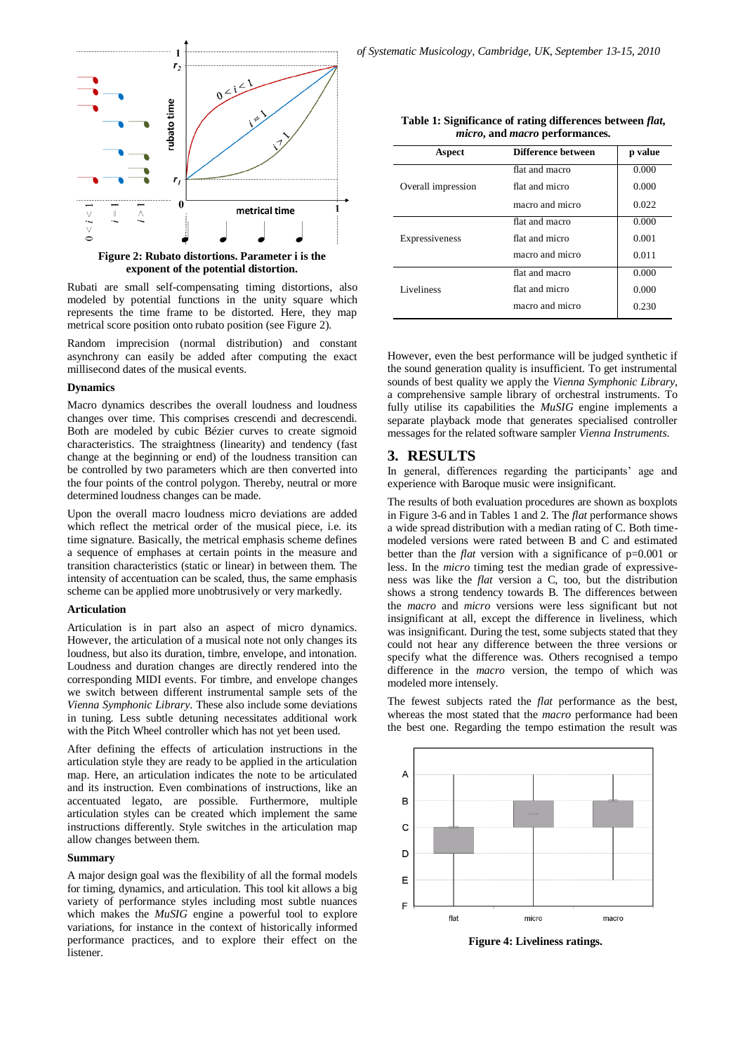

**exponent of the potential distortion.**

Rubati are small self-compensating timing distortions, also modeled by potential functions in the unity square which represents the time frame to be distorted. Here, they map metrical score position onto rubato position (see Figure 2).

Random imprecision (normal distribution) and constant asynchrony can easily be added after computing the exact millisecond dates of the musical events.

#### **Dynamics**

Macro dynamics describes the overall loudness and loudness changes over time. This comprises crescendi and decrescendi. Both are modeled by cubic Bézier curves to create sigmoid characteristics. The straightness (linearity) and tendency (fast change at the beginning or end) of the loudness transition can be controlled by two parameters which are then converted into the four points of the control polygon. Thereby, neutral or more determined loudness changes can be made.

Upon the overall macro loudness micro deviations are added which reflect the metrical order of the musical piece, i.e. its time signature. Basically, the metrical emphasis scheme defines a sequence of emphases at certain points in the measure and transition characteristics (static or linear) in between them. The intensity of accentuation can be scaled, thus, the same emphasis scheme can be applied more unobtrusively or very markedly.

#### **Articulation**

Articulation is in part also an aspect of micro dynamics. However, the articulation of a musical note not only changes its loudness, but also its duration, timbre, envelope, and intonation. Loudness and duration changes are directly rendered into the corresponding MIDI events. For timbre, and envelope changes we switch between different instrumental sample sets of the *Vienna Symphonic Library*. These also include some deviations in tuning. Less subtle detuning necessitates additional work with the Pitch Wheel controller which has not yet been used.

After defining the effects of articulation instructions in the articulation style they are ready to be applied in the articulation map. Here, an articulation indicates the note to be articulated and its instruction. Even combinations of instructions, like an accentuated legato, are possible. Furthermore, multiple articulation styles can be created which implement the same instructions differently. Style switches in the articulation map allow changes between them.

## **Summary**

A major design goal was the flexibility of all the formal models for timing, dynamics, and articulation. This tool kit allows a big variety of performance styles including most subtle nuances which makes the *MuSIG* engine a powerful tool to explore variations, for instance in the context of historically informed performance practices, and to explore their effect on the **listener** 

| Table 1: Significance of rating differences between <i>flat</i> , |
|-------------------------------------------------------------------|
| <i>micro</i> , and <i>macro</i> performances.                     |

| Aspect             | Difference between | p value |
|--------------------|--------------------|---------|
| Overall impression | flat and macro     | 0.000   |
|                    | flat and micro     | 0.000   |
|                    | macro and micro    | 0.022   |
| Expressiveness     | flat and macro     | 0.000   |
|                    | flat and micro     | 0.001   |
|                    | macro and micro    | 0.011   |
| Liveliness         | flat and macro     | 0.000   |
|                    | flat and micro     | 0.000   |
|                    | macro and micro    | 0.230   |

However, even the best performance will be judged synthetic if the sound generation quality is insufficient. To get instrumental sounds of best quality we apply the *Vienna Symphonic Library*, a comprehensive sample library of orchestral instruments. To fully utilise its capabilities the *MuSIG* engine implements a separate playback mode that generates specialised controller messages for the related software sampler *Vienna Instruments*.

# **3. RESULTS**

In general, differences regarding the participants' age and experience with Baroque music were insignificant.

The results of both evaluation procedures are shown as boxplots in Figure 3-6 and in Tables 1 and 2. The *flat* performance shows a wide spread distribution with a median rating of C. Both timemodeled versions were rated between B and C and estimated better than the *flat* version with a significance of p=0.001 or less. In the *micro* timing test the median grade of expressiveness was like the *flat* version a C, too, but the distribution shows a strong tendency towards B. The differences between the *macro* and *micro* versions were less significant but not insignificant at all, except the difference in liveliness, which was insignificant. During the test, some subjects stated that they could not hear any difference between the three versions or specify what the difference was. Others recognised a tempo difference in the *macro* version, the tempo of which was modeled more intensely.

The fewest subjects rated the *flat* performance as the best, whereas the most stated that the *macro* performance had been the best one. Regarding the tempo estimation the result was



**Figure 4: Liveliness ratings.**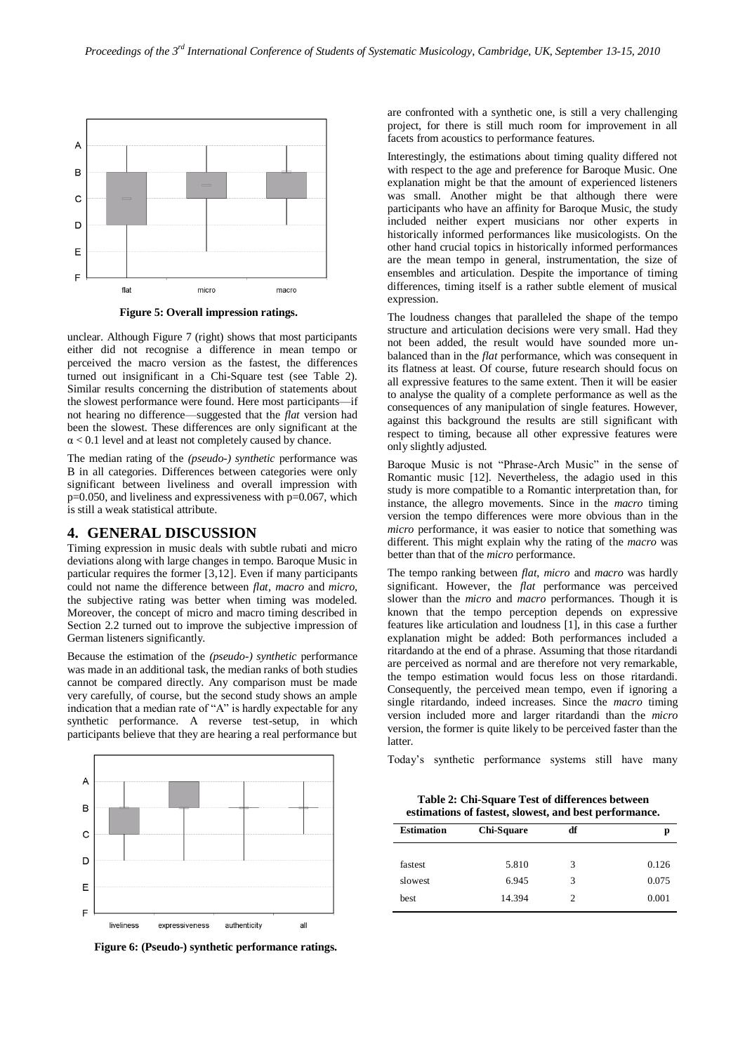

**Figure 5: Overall impression ratings.**

unclear. Although Figure 7 (right) shows that most participants either did not recognise a difference in mean tempo or perceived the macro version as the fastest, the differences turned out insignificant in a Chi-Square test (see Table 2). Similar results concerning the distribution of statements about the slowest performance were found. Here most participants—if not hearing no difference—suggested that the *flat* version had been the slowest. These differences are only significant at the  $\alpha$  < 0.1 level and at least not completely caused by chance.

The median rating of the *(pseudo-) synthetic* performance was B in all categories. Differences between categories were only significant between liveliness and overall impression with  $p=0.050$ , and liveliness and expressiveness with  $p=0.067$ , which is still a weak statistical attribute.

## **4. GENERAL DISCUSSION**

Timing expression in music deals with subtle rubati and micro deviations along with large changes in tempo. Baroque Music in particular requires the former [3,12]. Even if many participants could not name the difference between *flat*, *macro* and *micro*, the subjective rating was better when timing was modeled. Moreover, the concept of micro and macro timing described in Section 2.2 turned out to improve the subjective impression of German listeners significantly.

Because the estimation of the *(pseudo-) synthetic* performance was made in an additional task, the median ranks of both studies cannot be compared directly. Any comparison must be made very carefully, of course, but the second study shows an ample indication that a median rate of "A" is hardly expectable for any synthetic performance. A reverse test-setup, in which participants believe that they are hearing a real performance but



**Figure 6: (Pseudo-) synthetic performance ratings.**

are confronted with a synthetic one, is still a very challenging project, for there is still much room for improvement in all facets from acoustics to performance features.

Interestingly, the estimations about timing quality differed not with respect to the age and preference for Baroque Music. One explanation might be that the amount of experienced listeners was small. Another might be that although there were participants who have an affinity for Baroque Music, the study included neither expert musicians nor other experts in historically informed performances like musicologists. On the other hand crucial topics in historically informed performances are the mean tempo in general, instrumentation, the size of ensembles and articulation. Despite the importance of timing differences, timing itself is a rather subtle element of musical expression.

The loudness changes that paralleled the shape of the tempo structure and articulation decisions were very small. Had they not been added, the result would have sounded more unbalanced than in the *flat* performance, which was consequent in its flatness at least. Of course, future research should focus on all expressive features to the same extent. Then it will be easier to analyse the quality of a complete performance as well as the  $\overline{\text{c}^{c}}$  consequences of any manipulation of single features. However, against this background the results are still significant with respect to timing, because all other expressive features were only slightly adjusted.

Baroque Music is not "Phrase-Arch Music" in the sense of Romantic music [12]. Nevertheless, the adagio used in this study is more compatible to a Romantic interpretation than, for instance, the allegro movements. Since in the *macro* timing version the tempo differences were more obvious than in the *micro* performance, it was easier to notice that something was different. This might explain why the rating of the *macro* was better than that of the *micro* performance.

The tempo ranking between *flat*, *micro* and *macro* was hardly significant. However, the *flat* performance was perceived slower than the *micro* and *macro* performances. Though it is known that the tempo perception depends on expressive features like articulation and loudness [1], in this case a further explanation might be added: Both performances included a ritardando at the end of a phrase. Assuming that those ritardandi are perceived as normal and are therefore not very remarkable, the tempo estimation would focus less on those ritardandi. Consequently, the perceived mean tempo, even if ignoring a single ritardando, indeed increases. Since the *macro* timing version included more and larger ritardandi than the *micro* version, the former is quite likely to be perceived faster than the latter.

Today's synthetic performance systems still have many

**Table 2: Chi-Square Test of differences between estimations of fastest, slowest, and best performance.**

| <b>Estimation</b> | Chi-Square | df | р     |
|-------------------|------------|----|-------|
| fastest           | 5.810      | 3  | 0.126 |
| slowest           | 6.945      | 3  | 0.075 |
| best              | 14.394     | 2  | 0.001 |